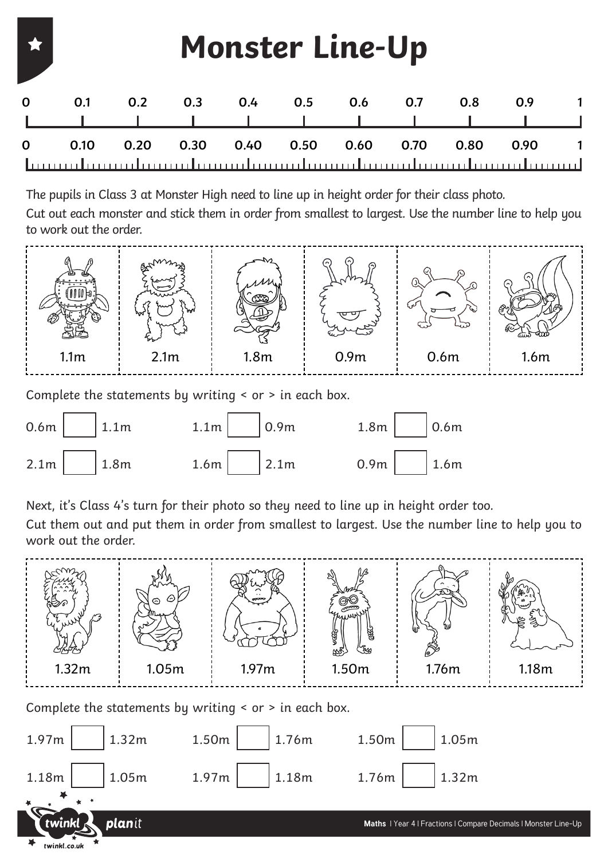|             | <b>Monster Line-Up</b> |      |      |      |      |               |      |      |      |  |
|-------------|------------------------|------|------|------|------|---------------|------|------|------|--|
| $\mathbf 0$ | 0.1                    | 0.2  | 0.3  |      |      | $0.4$ 0.5 0.6 | 0.7  | 0.8  | 0.9  |  |
| $\mathbf 0$ | 0.10                   | 0.20 | 0.30 | 0.40 | 0.50 | 0.60          | 0.70 | 0.80 | 0.90 |  |

The pupils in Class 3 at Monster High need to line up in height order for their class photo.

Cut out each monster and stick them in order from smallest to largest. Use the number line to help you to work out the order.



Complete the statements by writing < or > in each box.



Next, it's Class 4's turn for their photo so they need to line up in height order too.

Cut them out and put them in order from smallest to largest. Use the number line to help you to work out the order.



Complete the statements by writing < or > in each box.

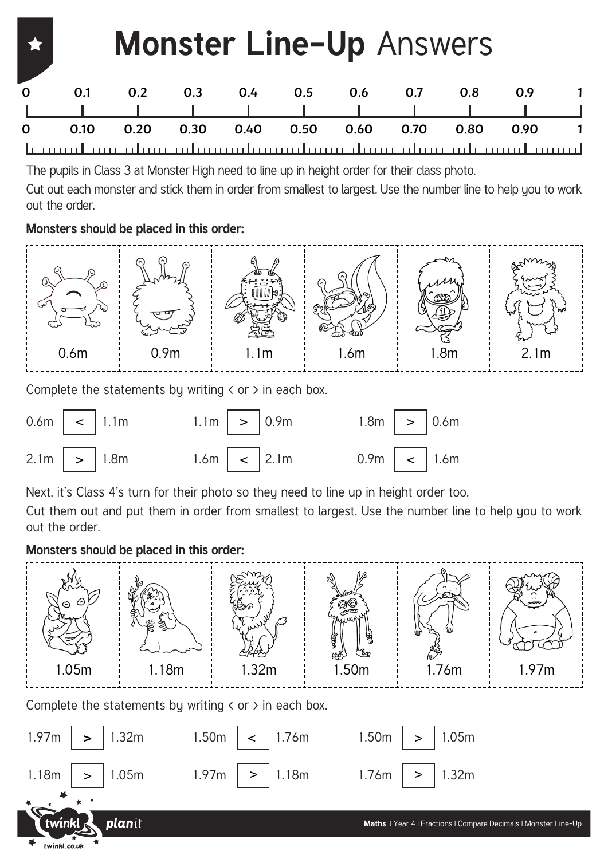### **Monster Line-Up** Answers **0 0.1 0.2 0.3 0.4 0.5 0.6 0.7 0.8 0.9 1 0 0.10 0.20 0.30 0.40 0.50 0.60 0.70 0.80 0.90 1**

The pupils in Class 3 at Monster High need to line up in height order for their class photo.

Cut out each monster and stick them in order from smallest to largest. Use the number line to help you to work out the order.

### **Monsters should be placed in this order:**



Complete the statements by writing  $\langle$  or  $\rangle$  in each box.



Next, it's Class 4's turn for their photo so they need to line up in height order too.

1.97m

Cut them out and put them in order from smallest to largest. Use the number line to help you to work out the order.

#### **Monsters should be placed in this order:**

1.05m

planit

>

1.18m

 $t$ winkl.co.uk



1.76m

1.18m > >

1.32m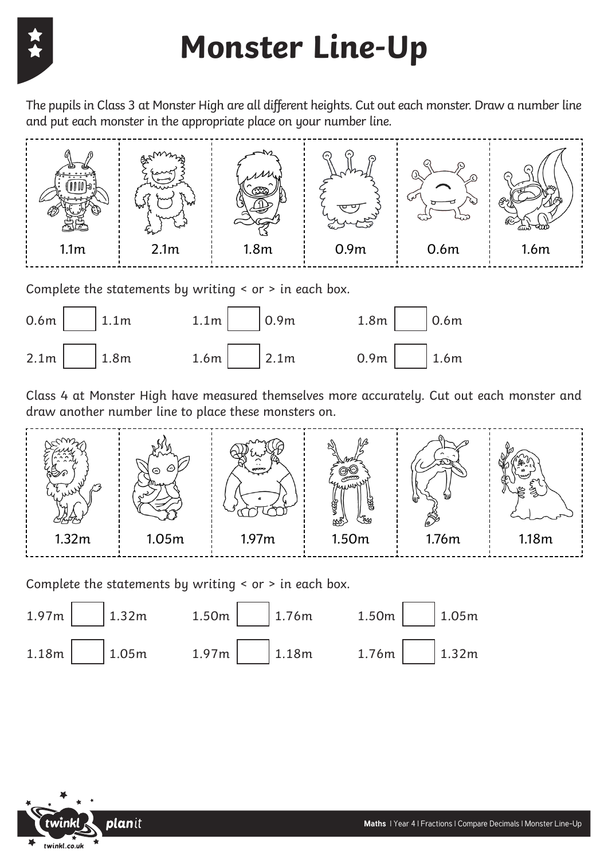## **Monster Line-Up**

The pupils in Class 3 at Monster High are all different heights. Cut out each monster. Draw a number line and put each monster in the appropriate place on your number line.



Complete the statements by writing < or > in each box.



Class 4 at Monster High have measured themselves more accurately. Cut out each monster and draw another number line to place these monsters on.



Complete the statements by writing < or > in each box.



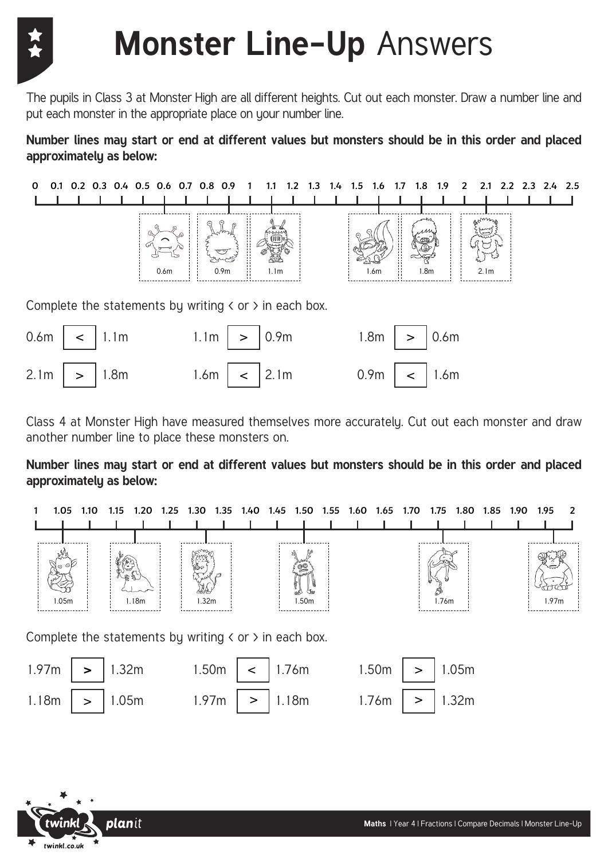

The pupils in Class 3 at Monster High are all different heights. Cut out each monster. Draw a number line and put each monster in the appropriate place on your number line.

**Number lines may start or end at different values but monsters should be in this order and placed approximately as below:**





Class 4 at Monster High have measured themselves more accurately. Cut out each monster and draw another number line to place these monsters on.

**Number lines may start or end at different values but monsters should be in this order and placed approximately as below:**



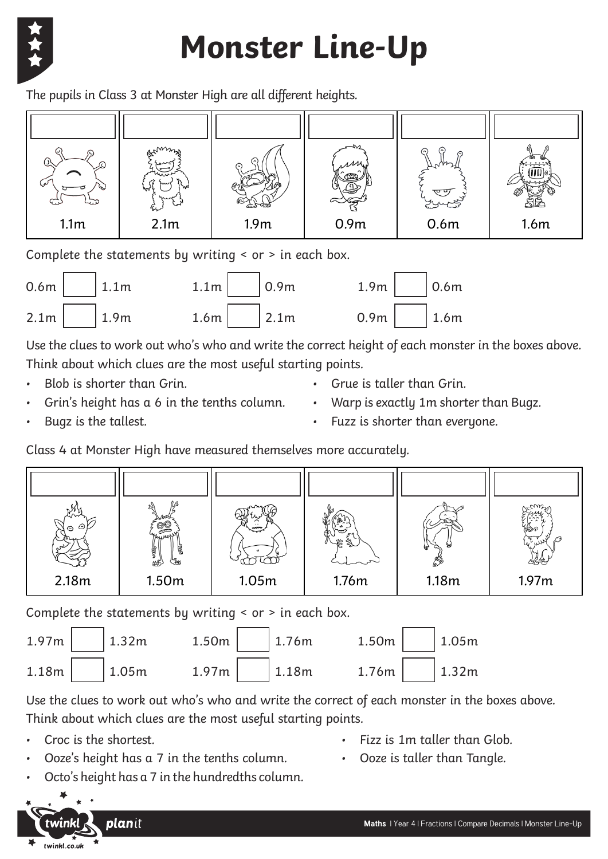

# **Monster Line-Up**

The pupils in Class 3 at Monster High are all different heights.



Complete the statements by writing < or > in each box.



Use the clues to work out who's who and write the correct height of each monster in the boxes above. Think about which clues are the most useful starting points.

- Blob is shorter than Grin.
- Grin's height has a 6 in the tenths column.
- Grue is taller than Grin. • Warp is exactly 1m shorter than Bugz.

• Bugz is the tallest.

Fuzz is shorter than everyone.

Class 4 at Monster High have measured themselves more accurately.



Complete the statements by writing < or > in each box.

|  |  | $1.97m$   $1.32m$ $1.50m$   $1.76m$ $1.50m$   $1.05m$ |  |
|--|--|-------------------------------------------------------|--|
|  |  | $1.18m$   $1.05m$ $1.97m$   $1.18m$ $1.76m$   $1.32m$ |  |

Use the clues to work out who's who and write the correct of each monster in the boxes above. Think about which clues are the most useful starting points.

- Croc is the shortest.
- Ooze's height has a 7 in the tenths column.
- Fizz is 1m taller than Glob.
- Ooze is taller than Tangle.
- Octo's height has a 7 in the hundredths column.